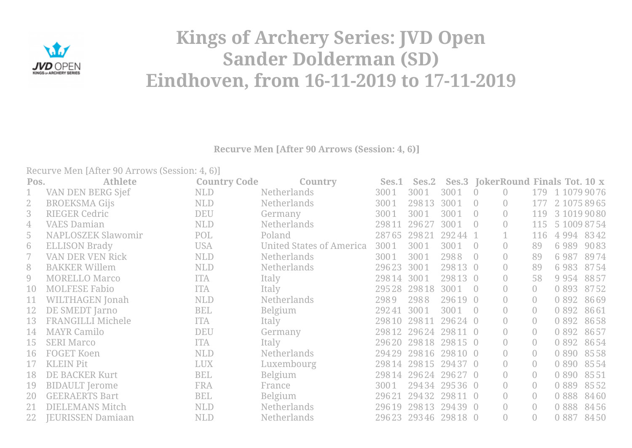

## **Kings of Archery Series: JVD Open Sander Dolderman (SD) Eindhoven, from 16-11-2019 to 17-11-2019**

**Recurve Men [After 90 Arrows (Session: 4, 6)]**

Recurve Men [After 90 Arrows (Session: 4, 6)]

| Pos.           | <b>Athlete</b>            | <b>Country Code</b> | Country                         | Ses.1      |             | Ses.2 Ses.3 JokerRound Finals Tot. 10 x |                |                  |                |         |                  |
|----------------|---------------------------|---------------------|---------------------------------|------------|-------------|-----------------------------------------|----------------|------------------|----------------|---------|------------------|
| $\mathbf 1$    | VAN DEN BERG Sjef         | NLD                 | <b>Netherlands</b>              | 3001       | 3001        | 3001                                    | $\bigcirc$     | $\overline{0}$   |                |         | 179 1 1079 90 76 |
| $\mathbf{2}$   | <b>BROEKSMA Gijs</b>      | <b>NLD</b>          | <b>Netherlands</b>              | 3001       | 29813       | 3001                                    | $\overline{0}$ | $\overline{0}$   | 177            |         | 2 1075 89 65     |
| 3              | <b>RIEGER Cedric</b>      | <b>DEU</b>          | Germany                         | 3001       | 3001        | 3001                                    |                | $\overline{0}$   | 119            |         | 3 1019 90 80     |
| $\overline{4}$ | <b>VAES Damian</b>        | NLD                 | <b>Netherlands</b>              | 29811      | 29627       | 3001                                    | $\overline{0}$ | $\overline{0}$   | 115            |         | 5 1009 87 54     |
| 5              | <b>NAPLOSZEK Slawomir</b> | POL                 | Poland                          | 28765      | 29821       | 29244 1                                 |                |                  | 116            | 4 9 9 4 | 8342             |
| 6              | <b>ELLISON Brady</b>      | <b>USA</b>          | <b>United States of America</b> | 3001       | 3001        | 3001                                    |                | $\overline{0}$   | 89             | 6989    | 9083             |
|                | VAN DER VEN Rick          | <b>NLD</b>          | <b>Netherlands</b>              | 3001       | 3001        | 2988                                    |                | $\bigcirc$       | 89             | 6987    | 8974             |
| 8              | <b>BAKKER Willem</b>      | <b>NLD</b>          | <b>Netherlands</b>              | 29623      | 3001        | 29813 0                                 |                | $\overline{0}$   | 89             | 6983    | 8754             |
| 9              | <b>MORELLO Marco</b>      | <b>ITA</b>          | Italy                           | 29814 3001 |             | 29813 0                                 |                | $\overline{0}$   | 58             | 9 9 5 4 | 8857             |
| 10             | <b>MOLFESE Fabio</b>      | <b>ITA</b>          | Italy                           |            | 29528 29818 | 3001                                    | $\overline{0}$ | $\overline{0}$   | $\overline{0}$ | 0 8 9 3 | 8752             |
| 11             | <b>WILTHAGEN</b> Jonah    | <b>NLD</b>          | Netherlands                     | 2989       | 2988        | 29619 0                                 |                | $\overline{0}$   | $\overline{0}$ | 0 8 9 2 | 8669             |
| 12             | DE SMEDT Jarno            | <b>BEL</b>          | Belgium                         | 29241      | 3001        | 3001                                    |                | $\overline{0}$   | $\overline{0}$ | 0 8 9 2 | 8661             |
| 13             | <b>FRANGILLI Michele</b>  | <b>ITA</b>          | Italy                           | 29810      | 29811       | 29624 0                                 |                | $\overline{0}$   | $\overline{0}$ | 0 8 9 2 | 8658             |
| 14             | MAYR Camilo               | <b>DEU</b>          | Germany                         |            |             | 29812 29624 29811 0                     |                | $\overline{0}$   | $\overline{0}$ | 0 8 9 2 | 8657             |
| 15             | <b>SERI Marco</b>         | <b>ITA</b>          | Italy                           |            |             | 29620 29818 29815 0                     |                | $\bigcirc$       | $\overline{0}$ | 0 8 9 2 | 8654             |
| 16             | FOGET Koen                | <b>NLD</b>          | <b>Netherlands</b>              |            |             | 29429 29816 29810 0                     |                | $\overline{0}$   | $\bigcap$      | 0 8 9 0 | 8558             |
|                | <b>KLEIN Pit</b>          | <b>LUX</b>          | Luxembourg                      | 29814      |             | 29815 29437 0                           |                | $\overline{0}$   | $\overline{0}$ | 0 8 9 0 | 8554             |
| 18             | DE BACKER Kurt            | <b>BEL</b>          | Belgium                         |            |             | 29814 29624 29627 0                     |                | $\bigcirc$       | $\overline{0}$ | 0 8 9 0 | 8551             |
| 19             | <b>BIDAULT</b> Jerome     | <b>FRA</b>          | France                          | 3001       |             | 29434 29536 0                           |                | $\overline{0}$   | $\overline{0}$ | 0 8 8 9 | 8552             |
| 20             | <b>GEERAERTS Bart</b>     | <b>BEL</b>          | Belgium                         | 29621      |             | 29432 29811 0                           |                | $\left( \right)$ | $\overline{0}$ | 0888    | 8460             |
| 21             | <b>DIELEMANS Mitch</b>    | NLD                 | Netherlands                     | 29619      |             | 29813 29439 0                           |                | $\overline{0}$   | $\overline{0}$ | 0 8 8 8 | 8456             |
| 22             | <b>IEURISSEN Damiaan</b>  | <b>NLD</b>          | Netherlands                     |            |             | 29623 29346 29818 0                     |                | $\overline{0}$   | $\overline{0}$ | 0 8 8 7 | 8450             |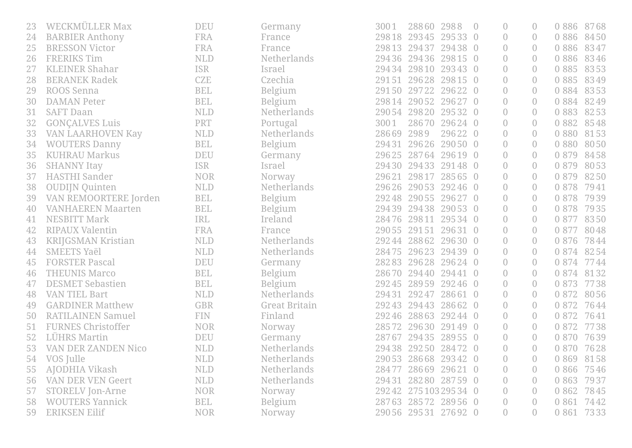|    | WECKMÜLLER Max             | <b>DEU</b>   | Germany              | 3001  | 28860 2988          |               | $\overline{0}$ | $\bigcap$        | 0886        | 8768 |
|----|----------------------------|--------------|----------------------|-------|---------------------|---------------|----------------|------------------|-------------|------|
| 24 | <b>BARBIER Anthony</b>     | FRA          | France               | 29818 | 29345               | 29533 0       | $\overline{0}$ | $\left( \right)$ | 0 8 8 6     | 8450 |
| 25 | <b>BRESSON Victor</b>      | <b>FRA</b>   | France               | 29813 | 29437               | 29438 0       | $\overline{0}$ | $\overline{0}$   | 0 8 8 6     | 8347 |
| 26 | <b>FRERIKS Tim</b>         | <b>NLD</b>   | Netherlands          | 29436 |                     | 29436 29815 0 | $\overline{0}$ | $\left( \right)$ | 0 8 8 6     | 8346 |
| 27 | <b>KLEINER Shahar</b>      | <b>ISR</b>   | Israel               | 29434 |                     | 29810 29343 0 | $\overline{0}$ | $\overline{0}$   | 0 8 8 5     | 8353 |
| 28 | <b>BERANEK Radek</b>       | CZE          | Czechia              | 29151 |                     | 29628 29815 0 | $\overline{0}$ | $\bigcirc$       | 0 8 8 5     | 8349 |
| 29 | ROOS Senna                 | <b>BEL</b>   | Belgium              |       | 29150 29722 29622 0 |               | $\overline{0}$ | $\left( \right)$ | 0 8 8 4     | 8353 |
| 30 | <b>DAMAN Peter</b>         | <b>BEL</b>   | Belgium              | 29814 | 29052               | 29627 0       | $\overline{0}$ | $\overline{0}$   | 0 8 8 4     | 8249 |
| 31 | <b>SAFT Daan</b>           | <b>NLD</b>   | <b>Netherlands</b>   | 29054 | 29820               | 29532 0       | $\overline{0}$ | $\left( \right)$ | 0 8 8 3     | 8253 |
| 32 | <b>GONÇALVES Luis</b>      | <b>PRT</b>   | Portugal             | 3001  | 28670               | 29624 0       | $\overline{0}$ | $\left( \right)$ | 0 8 8 2     | 8548 |
| 33 | <b>VAN LAARHOVEN Kay</b>   | <b>NLD</b>   | <b>Netherlands</b>   | 28669 | 2989                | 29622 0       | $\overline{0}$ | $\bigcap$        | 0880        | 8153 |
| 34 | <b>WOUTERS Danny</b>       | <b>BEL</b>   | Belgium              | 29431 | 29626               | 29050 0       | $\overline{0}$ | $\overline{0}$   | 0 8 8 0     | 8050 |
| 35 | <b>KUHRAU Markus</b>       | <b>DEU</b>   | Germany              |       | 29625 28764         | 29619 0       | $\overline{0}$ | $\overline{0}$   | 0 8 7 9     | 8458 |
| 36 | <b>SHANNY Itay</b>         | <b>ISR</b>   | Israel               | 29430 |                     | 29433 29148 0 | $\overline{0}$ | $\left( \right)$ | 0 8 7 9     | 8053 |
| 37 | <b>HASTHI</b> Sander       | <b>NOR</b>   | Norway               | 29621 | 29817               | 28565 0       | $\overline{0}$ | $\left( \right)$ | 0 8 7 9     | 8250 |
| 38 | <b>OUDIJN Quinten</b>      | <b>NLD</b>   | Netherlands          | 29626 | 29053               | 29246 0       | $\overline{0}$ | $\overline{0}$   | 0 878       | 7941 |
| 39 | VAN REMOORTERE Jorden      | <b>BEL</b>   | Belgium              | 29248 |                     | 29055 29627 0 | $\overline{0}$ | $\left( \right)$ | 0 878       | 7939 |
| 40 | <b>VANHAEREN Maarten</b>   | <b>BEL</b>   | Belgium              | 29439 | 29438               | 29053 0       | $\overline{0}$ | $\left( \right)$ | 0 8 7 8     | 7935 |
| 41 | <b>NESBITT Mark</b>        | IRL          | Ireland              | 28476 | 29811               | 29534 0       | $\overline{0}$ | $\overline{0}$   | 0 877       | 8350 |
| 42 | <b>RIPAUX Valentin</b>     | <b>FRA</b>   | France               | 29055 | 29151               | 29631 0       | $\bigcirc$     | $\left( \right)$ | 0 877       | 8048 |
| 43 | <b>KRIJGSMAN Kristian</b>  | <b>NLD</b>   | Netherlands          |       | 29244 28862         | 29630 0       | $\overline{0}$ | $\overline{0}$   | 0 8 7 6     | 7844 |
| 44 | <b>SMEETS Yaël</b>         | <b>NLD</b>   | <b>Netherlands</b>   | 28475 |                     | 29623 29439 0 | $\overline{0}$ | $\bigcap$        | 0 8 7 4     | 8254 |
| 45 | <b>FORSTER Pascal</b>      | <b>DEU</b>   | Germany              | 28283 |                     | 29628 29624 0 | $\overline{0}$ | $\left( \right)$ | 0 8 7 4     | 7744 |
| 46 | <b>THEUNIS Marco</b>       | <b>BEL</b>   | Belgium              | 28670 | 29440               | 29441 0       | $\overline{0}$ | $\overline{0}$   | 0 8 7 4     | 8132 |
| 47 | <b>DESMET Sebastien</b>    | <b>BEL</b>   | Belgium              | 29245 | 28959               | 29246 0       | $\overline{0}$ | $\overline{0}$   | 0 873       | 7738 |
| 48 | <b>VAN TIEL Bart</b>       | <b>NLD</b>   | Netherlands          | 29431 | 29247               | 28661 0       | $\overline{0}$ | $\left( \right)$ | 0 8 7 2     | 8056 |
| 49 | <b>GARDINER Matthew</b>    | <b>GBR</b>   | <b>Great Britain</b> | 29243 | 29443               | 28662 0       | $\overline{0}$ | $\bigcirc$       | 0 872       | 7644 |
| 50 | <b>RATILAINEN Samuel</b>   | <b>FIN</b>   | Finland              | 29246 | 28863               | 29244 0       | $\overline{0}$ | $\left( \right)$ | 0 872       | 7641 |
| 51 | <b>FURNES Christoffer</b>  | <b>NOR</b>   | Norway               | 28572 | 29630               | 29149 0       | $\overline{0}$ | $\overline{0}$   | 0 872       | 7738 |
| 52 | <b>LÜHRS Martin</b>        | <b>DEU</b>   | Germany              | 28767 | 29435               | 28955 0       | $\overline{0}$ | $\left( \right)$ | 0 8 7 0     | 7639 |
| 53 | <b>VAN DER ZANDEN Nico</b> | <b>NLD</b>   | <b>Netherlands</b>   | 29438 | 29250 28472 0       |               | $\overline{0}$ | $\overline{0}$   | 0 8 7 0     | 7628 |
| 54 | VOS Julle                  | $\mbox{NLD}$ | Netherlands          |       | 29053 28668 29342 0 |               | $\overline{0}$ | $\overline{0}$   | 0 869 8158  |      |
| 55 | AJODHIA Vikash             | <b>NLD</b>   | <b>Netherlands</b>   |       | 28477 28669 29621 0 |               | $\overline{0}$ | $\left( \right)$ | 0 866 75 46 |      |
| 56 | <b>VAN DER VEN Geert</b>   | <b>NLD</b>   | Netherlands          |       | 29431 28280 28759 0 |               | $\overline{0}$ | $\left( \right)$ | 0 8 6 3     | 7937 |
| 57 | <b>STORELV Jon-Arne</b>    | <b>NOR</b>   | Norway               |       | 29242 27510329534 0 |               | $\overline{0}$ | $\left( \right)$ | 0 862       | 7845 |
| 58 | <b>WOUTERS Yannick</b>     | <b>BEL</b>   | Belgium              |       | 28763 28572 28956 0 |               | $\overline{0}$ | $\left( \right)$ | 0 8 6 1     | 7442 |
| 59 | <b>ERIKSEN Eilif</b>       | <b>NOR</b>   | Norway               |       | 29056 29531 27692 0 |               | $\sqrt{a}$     | $\overline{0}$   | 0 861 73 33 |      |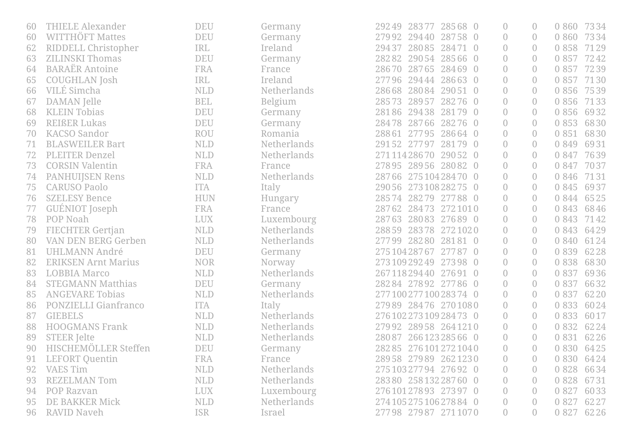| 60 | <b>THIELE Alexander</b>     | <b>DEU</b> | Germany            | 29249 28377 28568 0       | $\overline{0}$ | $\bigcap$        | 0 860       | 7334 |
|----|-----------------------------|------------|--------------------|---------------------------|----------------|------------------|-------------|------|
| 60 | WITTHÖFT Mattes             | <b>DEU</b> | Germany            | 27992 29440 28758 0       | $\overline{0}$ | $\left( \right)$ | 0 8 6 0     | 7334 |
| 62 | RIDDELL Christopher         | <b>IRL</b> | Ireland            | 28085<br>28471 0<br>29437 | $\overline{0}$ | $\overline{0}$   | 0 858       | 7129 |
| 63 | <b>ZILINSKI Thomas</b>      | <b>DEU</b> | Germany            | 28282<br>29054 28566 0    | $\overline{0}$ | $\overline{0}$   | 0 857       | 7242 |
| 64 | <b>BARAËR Antoine</b>       | <b>FRA</b> | France             | 28765 28469 0<br>28670    | $\overline{0}$ | $\left( \right)$ | 0 857       | 7239 |
| 65 | <b>COUGHLAN</b> Josh        | <b>IRL</b> | Ireland            | 27796<br>29444<br>28663 0 | $\overline{0}$ | $\bigcirc$       | 0 857       | 7130 |
| 66 | VILÉ Simcha                 | <b>NLD</b> | Netherlands        | 28668<br>28084<br>29051 0 | $\overline{0}$ | $\overline{0}$   | 0 8 5 6     | 7539 |
| 67 | DAMAN Jelle                 | <b>BEL</b> | Belgium            | 28573<br>28957<br>28276 0 | $\overline{0}$ | $\overline{0}$   | 0 8 5 6     | 7133 |
| 68 | <b>KLEIN Tobias</b>         | <b>DEU</b> | Germany            | 28186<br>29438 28179 0    | $\overline{0}$ | $\overline{0}$   | 0 856       | 6932 |
| 69 | <b>REIßER Lukas</b>         | <b>DEU</b> | Germany            | 28478<br>28766<br>28276 0 | $\overline{0}$ | $\left( \right)$ | 0 8 5 3     | 6830 |
| 70 | <b>KACSO Sandor</b>         | <b>ROU</b> | Romania            | 28664 0<br>28861<br>27795 | $\overline{0}$ | $\overline{0}$   | 0 8 5 1     | 6830 |
| 71 | <b>BLASWEILER Bart</b>      | <b>NLD</b> | <b>Netherlands</b> | 29152 27797<br>28179 0    | $\overline{0}$ | $\left( \right)$ | 0 8 4 9     | 6931 |
| 72 | <b>PLEITER Denzel</b>       | <b>NLD</b> | Netherlands        | 27111428670 29052 0       | $\overline{0}$ | $\left( \right)$ | 0 847       | 7639 |
| 73 | <b>CORSIN Valentin</b>      | <b>FRA</b> | France             | 28956 28082 0<br>27895    | $\overline{0}$ | $\left( \right)$ | 0 847       | 7037 |
| 74 | <b>PANHUIJSEN Rens</b>      | <b>NLD</b> | Netherlands        | 28766 27510428470 0       | $\overline{0}$ | $\left( \right)$ | 0 8 4 6     | 7131 |
| 75 | <b>CARUSO Paolo</b>         | <b>ITA</b> | Italy              | 29056 27310828275 0       | $\overline{0}$ | $\left( \right)$ | 0 8 4 5     | 6937 |
| 76 | <b>SZELESY Bence</b>        | <b>HUN</b> | Hungary            | 28279 27788 0<br>28574    | $\overline{0}$ | $\bigcap$        | 0 8 4 4     | 6525 |
| 77 | <b>GUÉNIOT</b> Joseph       | FRA        | France             | 28762<br>28473 2721010    | $\overline{0}$ | $\left( \right)$ | 0 8 4 3     | 6846 |
| 78 | POP Noah                    | <b>LUX</b> | Luxembourg         | 28083 27689 0<br>28763    | $\overline{0}$ | $\left( \right)$ | 0 8 4 3     | 7142 |
| 79 | <b>FIECHTER Gertjan</b>     | <b>NLD</b> | Netherlands        | 28859<br>28378 2721020    | $\overline{0}$ | $\left( \right)$ | 0 8 4 3     | 6429 |
| 80 | <b>VAN DEN BERG Gerben</b>  | <b>NLD</b> | <b>Netherlands</b> | 27799 28280 28181 0       | $\overline{0}$ | $\left( \right)$ | 0 8 4 0     | 6124 |
| 81 | <b>UHLMANN André</b>        | <b>DEU</b> | Germany            | 275 104 287 67<br>27787 0 | $\overline{0}$ | $\bigcirc$       | 0 8 3 9     | 6228 |
| 82 | <b>ERIKSEN Arnt Marius</b>  | <b>NOR</b> | Norway             | 27310929249 27398 0       | $\bigcirc$     | $\left( \right)$ | 0 8 3 8     | 6830 |
| 83 | <b>LOBBIA Marco</b>         | <b>NLD</b> | <b>Netherlands</b> | 26711829440<br>27691 0    | $\overline{0}$ | $\overline{0}$   | 0 8 3 7     | 6936 |
| 84 | <b>STEGMANN Matthias</b>    | <b>DEU</b> | Germany            | 28284 27892 27786 0       | $\overline{0}$ | $\left( \right)$ | 0 8 3 7     | 6632 |
| 85 | <b>ANGEVARE Tobias</b>      | <b>NLD</b> | <b>Netherlands</b> | 277100277100283740        | $\overline{0}$ | $\left( \right)$ | 0 8 3 7     | 6220 |
| 86 | <b>PONZIELLI Gianfranco</b> | <b>ITA</b> | Italy              | 27989 28476 2701080       | $\overline{0}$ | $\bigcap$        | 0 8 3 3     | 6024 |
| 87 | <b>GIEBELS</b>              | <b>NLD</b> | <b>Netherlands</b> | 27610227310928473 0       | $\overline{0}$ | $\overline{0}$   | 0 8 3 3     | 6017 |
| 88 | <b>HOOGMANS Frank</b>       | <b>NLD</b> | Netherlands        | 27992 28958 2641210       | $\overline{0}$ | $\overline{0}$   | 0 8 3 2     | 6224 |
| 89 | <b>STEER Jelte</b>          | <b>NLD</b> | <b>Netherlands</b> | 26612328566 0<br>28087    | $\overline{0}$ | $\overline{0}$   | 0 8 3 1     | 6226 |
| 90 | HISCHEMÖLLER Steffen        | <b>DEU</b> | Germany            | 282 85 276 101 272 104 0  | 0              | $\left( \right)$ | 0 8 3 0     | 6425 |
| 91 | <b>LEFORT Quentin</b>       | <b>FRA</b> | France             | 28958 27989 2621230       | $\overline{0}$ | $\overline{0}$   | 0 830 6424  |      |
| 92 | <b>VAES Tim</b>             | <b>NLD</b> | Netherlands        | 27510327794 27692 0       | $\overline{0}$ |                  | 0 8 2 8     | 6634 |
| 93 | <b>REZELMAN Tom</b>         | <b>NLD</b> | <b>Netherlands</b> | 28380 25813228760 0       | $\overline{0}$ | $\left( \right)$ | 0 8 2 8     | 6731 |
| 94 | POP Razvan                  | <b>LUX</b> | Luxembourg         | 27610127893 27397 0       | $\bigcap$      | $\left( \right)$ | 0 8 2 7     | 6033 |
| 95 | DE BAKKER Mick              | <b>NLD</b> | Netherlands        | 274 105 275 106 278 84 0  | $\overline{0}$ |                  | 0 8 2 7     | 6227 |
| 96 | <b>RAVID Naveh</b>          | <b>ISR</b> | Israel             | 27798 27987 2711070       | $\overline{0}$ | $\left( \right)$ | 0 827 62 26 |      |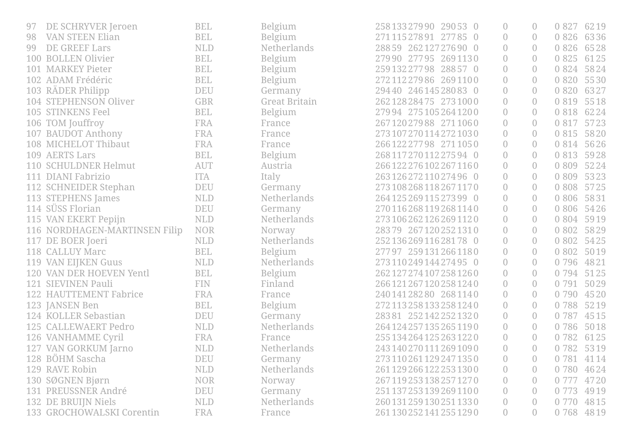| 97  | DE SCHRYVER Jeroen            | <b>BEL</b> | Belgium              | 25813327990 29053 0       | $\overline{0}$   | $\left( \right)$ | 0 8 2 7    | 6219 |
|-----|-------------------------------|------------|----------------------|---------------------------|------------------|------------------|------------|------|
| 98  | <b>VAN STEEN Elian</b>        | <b>BEL</b> | Belgium              | 27111527891 27785 0       | $\overline{0}$   | $\left( \right)$ | 0 8 2 6    | 6336 |
| 99  | <b>DE GREEF Lars</b>          | <b>NLD</b> | <b>Netherlands</b>   | 28859 26212727690 0       | $\overline{0}$   | $\overline{0}$   | 0 8 2 6    | 6528 |
| 100 | <b>BOLLEN Olivier</b>         | <b>BEL</b> | Belgium              | 27990 27795 2691130       | $\overline{0}$   | $\left( \right)$ | 0 8 2 5    | 6125 |
| 101 | <b>MARKEY Pieter</b>          | <b>BEL</b> | Belgium              | 259 132 277 98 288 57 0   | $\overline{0}$   | $\left( \right)$ | 0 8 2 4    | 5824 |
|     | 102 ADAM Frédéric             | <b>BEL</b> | Belgium              | 272 112 279 86 269 1100   | $\overline{0}$   | $\left( \right)$ | 0 8 2 0    | 5530 |
|     | 103 RÄDER Philipp             | <b>DEU</b> | Germany              | 29440 24614528083 0       | $\overline{0}$   | $\overline{0}$   | 0 8 2 0    | 6327 |
|     | 104 STEPHENSON Oliver         | <b>GBR</b> | <b>Great Britain</b> | 262 128 284 75 273 1000   | $\overline{0}$   | $\overline{0}$   | 0 8 1 9    | 5518 |
|     | 105 STINKENS Feel             | <b>BEL</b> | Belgium              | 27994 2751052641200       | $\overline{0}$   | $\left( \right)$ | 0 8 1 8    | 6224 |
|     | 106 TOM Jouffroy              | <b>FRA</b> | France               | 26712027988 2711060       | $\overline{0}$   | $\left( \right)$ | 0 8 1 7    | 5723 |
|     | 107 BAUDOT Anthony            | <b>FRA</b> | France               | 2731072701142721030       | $\overline{0}$   | $\overline{0}$   | 0 8 1 5    | 5820 |
|     | 108 MICHELOT Thibaut          | FRA        | France               | 266 122 277 98 271 1050   | $\overline{0}$   | $\left( \right)$ | 0 8 1 4    | 5626 |
|     | 109 AERTS Lars                | <b>BEL</b> | Belgium              | 26811727011227594 0       | $\overline{0}$   | $\overline{0}$   | 0 8 1 3    | 5928 |
|     | 110 SCHULDNER Helmut          | <b>AUT</b> | Austria              | 266 122 276 102 267 1160  | $\overline{0}$   | $\left( \right)$ | 0 8 0 9    | 5224 |
|     | 111 DIANI Fabrizio            | <b>ITA</b> | Italy                | 26312627211027496 0       | $\overline{0}$   | $\left( \right)$ | 0 8 0 9    | 5323 |
|     | 112 SCHNEIDER Stephan         | <b>DEU</b> | Germany              | 2731082681182671170       | $\overline{0}$   | $\overline{0}$   | 0 8 0 8    | 5725 |
|     | 113 STEPHENS James            | <b>NLD</b> | <b>Netherlands</b>   | 264 125 269 115 273 99 0  | $\overline{0}$   | $\bigcirc$       | 0 8 0 6    | 5831 |
|     | 114 SÜSS Florian              | <b>DEU</b> | Germany              | 2701162681192681140       | $\overline{0}$   | $\left( \right)$ | 0 8 0 6    | 5426 |
|     | 115 VAN EKERT Pepijn          | <b>NLD</b> | Netherlands          | 2731062621262691120       | $\overline{0}$   | $\left( \right)$ | 0 8 0 4    | 5919 |
|     | 116 NORDHAGEN-MARTINSEN Filip | <b>NOR</b> | Norway               | 28379 2671202521310       | $\overline{0}$   | $\overline{0}$   | 0 8 0 2    | 5829 |
|     | 117 DE BOER Joeri             | <b>NLD</b> | <b>Netherlands</b>   | 252 136 269 116 281 78 0  | $\overline{0}$   | $\left( \right)$ | 0 8 0 2    | 5425 |
|     | 118 CALLUY Marc               | <b>BEL</b> | Belgium              | 27797 2591312661180       | $\overline{0}$   | $\overline{0}$   | 0 8 0 2    | 5019 |
|     | 119 VAN EIJKEN Guus           | <b>NLD</b> | Netherlands          | 273110249144274950        | $\overline{0}$   | $\left( \right)$ | 0 7 9 6    | 4821 |
|     | 120 VAN DER HOEVEN Yentl      | <b>BEL</b> | Belgium              | 262 127 274 107 258 1260  | $\overline{0}$   | $\overline{0}$   | 0 7 9 4    | 5125 |
| 121 | <b>SIEVINEN Pauli</b>         | <b>FIN</b> | Finland              | 266 121 267 120 258 1240  | $\overline{0}$   | $\left( \right)$ | 0 7 9 1    | 5029 |
|     | 122 HAUTTEMENT Fabrice        | FRA        | France               | 24014128280 2681140       | $\overline{0}$   | $\overline{0}$   | 0 7 9 0    | 4520 |
|     | 123 JANSEN Ben                | <b>BEL</b> | Belgium              | 272 113 258 133 258 1240  | $\overline{0}$   | $\left( \right)$ | 0788       | 5219 |
|     | 124 KOLLER Sebastian          | <b>DEU</b> | Germany              | 28381 2521422521320       | $\overline{0}$   | $\overline{0}$   | 0 787      | 4515 |
| 125 | <b>CALLEWAERT Pedro</b>       | <b>NLD</b> | Netherlands          | 2641242571352651190       | $\overline{0}$   | $\overline{0}$   | 0 786      | 5018 |
|     | 126 VANHAMME Cyril            | <b>FRA</b> | France               | 255 134 264 125 263 1220  | $\overline{0}$   | $\overline{0}$   | 0 782      | 6125 |
|     | 127 VAN GORKUM Jarno          | <b>NLD</b> | Netherlands          | 243 140 270 111 269 109 0 | $\bigcirc$       | $\left( \right)$ | 0 782      | 5319 |
|     | 128 BÖHM Sascha               | DEU        | Germany              | 273 110 261 129 247 1350  | $\overline{0}$   | $\overline{0}$   | 0 781 4114 |      |
|     | 129 RAVE Robin                | <b>NLD</b> | Netherlands          | 261 129 266 122 253 1300  | $\left( \right)$ | $\left( \right)$ | 0 7 8 0    | 4624 |
|     | 130 SØGNEN Bjørn              | <b>NOR</b> | Norway               | 2671192531382571270       | $\overline{0}$   | $\left( \right)$ | 0 777      | 4720 |
|     | 131 PREUSSNER André           | <b>DEU</b> | Germany              | 251 137 253 139 269 1100  | $\overline{0}$   | $\left( \right)$ | 0 7 7 3    | 4919 |
|     | 132 DE BRUIJN Niels           | <b>NLD</b> | Netherlands          | 2601312591302511330       | $\overline{0}$   | $\left( \right)$ | 0 770      | 4815 |
|     | 133 GROCHOWALSKI Corentin     | FRA        | France               | 261 130 252 141 255 1290  | $\theta$         | $\left( \right)$ | 0 768 4819 |      |